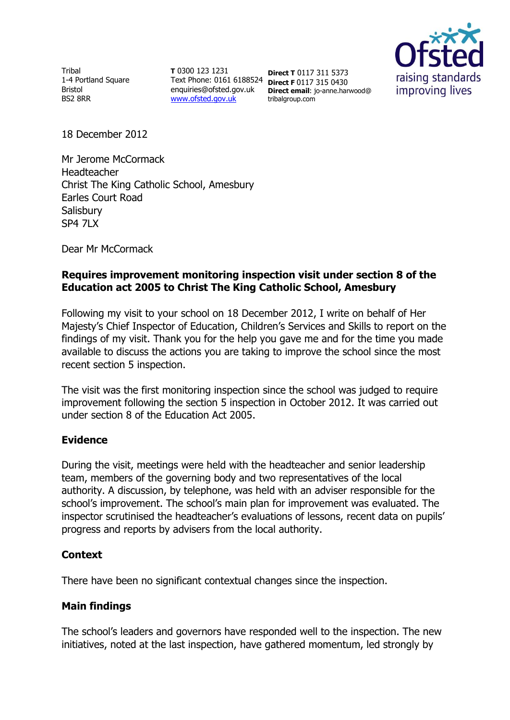Tribal 1-4 Portland Square Bristol BS2 8RR

**T** 0300 123 1231 Text Phone: 0161 6188524 **Direct F** 0117 315 0430 [www.ofsted.gov.uk](http://www.ofsted.gov.uk/)

enquiries@ofsted.gov.uk **Direct email**: jo-anne.harwood@ **Direct T** 0117 311 5373 tribalgroup.com



18 December 2012

Mr Jerome McCormack Headteacher Christ The King Catholic School, Amesbury Earles Court Road **Salisbury** SP4 7LX

Dear Mr McCormack

# **Requires improvement monitoring inspection visit under section 8 of the Education act 2005 to Christ The King Catholic School, Amesbury**

Following my visit to your school on 18 December 2012, I write on behalf of Her Majesty's Chief Inspector of Education, Children's Services and Skills to report on the findings of my visit. Thank you for the help you gave me and for the time you made available to discuss the actions you are taking to improve the school since the most recent section 5 inspection.

The visit was the first monitoring inspection since the school was judged to require improvement following the section 5 inspection in October 2012. It was carried out under section 8 of the Education Act 2005.

## **Evidence**

During the visit, meetings were held with the headteacher and senior leadership team, members of the governing body and two representatives of the local authority. A discussion, by telephone, was held with an adviser responsible for the school's improvement. The school's main plan for improvement was evaluated. The inspector scrutinised the headteacher's evaluations of lessons, recent data on pupils' progress and reports by advisers from the local authority.

## **Context**

There have been no significant contextual changes since the inspection.

## **Main findings**

The school's leaders and governors have responded well to the inspection. The new initiatives, noted at the last inspection, have gathered momentum, led strongly by